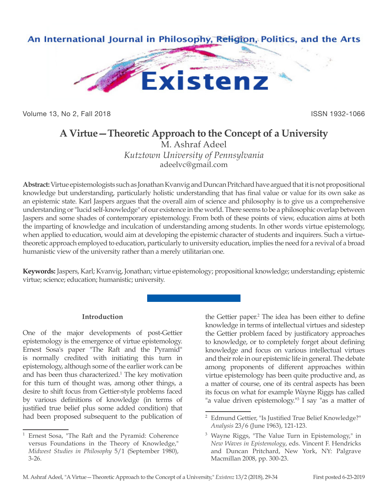

Volume 13, No 2, Fall 2018 ISSN 1932-1066

## **A Virtue—Theoretic Approach to the Concept of a University**

M. Ashraf Adeel *Kutztown University of Pennsylvania* adeelvc@gmail.com

**Abstract:** Virtue epistemologists such as Jonathan Kvanvig and Duncan Pritchard have argued that it is not propositional knowledge but understanding, particularly holistic understanding that has final value or value for its own sake as an epistemic state. Karl Jaspers argues that the overall aim of science and philosophy is to give us a comprehensive understanding or "lucid self-knowledge" of our existence in the world. There seems to be a philosophic overlap between Jaspers and some shades of contemporary epistemology. From both of these points of view, education aims at both the imparting of knowledge and inculcation of understanding among students. In other words virtue epistemology, when applied to education, would aim at developing the epistemic character of students and inquirers. Such a virtuetheoretic approach employed to education, particularly to university education, implies the need for a revival of a broad humanistic view of the university rather than a merely utilitarian one.

**Keywords:** Jaspers, Karl; Kvanvig, Jonathan; virtue epistemology; propositional knowledge; understanding; epistemic virtue; science; education; humanistic; university.

## **Introduction**

One of the major developments of post-Gettier epistemology is the emergence of virtue epistemology. Ernest Sosa's paper "The Raft and the Pyramid" is normally credited with initiating this turn in epistemology, although some of the earlier work can be and has been thus characterized.<sup>1</sup> The key motivation for this turn of thought was, among other things, a desire to shift focus from Gettier-style problems faced by various definitions of knowledge (in terms of justified true belief plus some added condition) that had been proposed subsequent to the publication of

the Gettier paper.<sup>2</sup> The idea has been either to define knowledge in terms of intellectual virtues and sidestep the Gettier problem faced by justificatory approaches to knowledge, or to completely forget about defining knowledge and focus on various intellectual virtues and their role in our epistemic life in general. The debate among proponents of different approaches within virtue epistemology has been quite productive and, as a matter of course, one of its central aspects has been its focus on what for example Wayne Riggs has called "a value driven epistemology."<sup>3</sup> I say "as a matter of

<sup>1</sup> Ernest Sosa, "The Raft and the Pyramid: Coherence versus Foundations in the Theory of Knowledge," *Midwest Studies in Philosophy* 5/1 (September 1980), 3-26.

<sup>&</sup>lt;sup>2</sup> Edmund Gettier, "Is Justified True Belief Knowledge?" *Analysis* 23/6 (June 1963), 121-123.

<sup>3</sup> Wayne Riggs, "The Value Turn in Epistemology," in *New Waves in Epistemology*, eds. Vincent F. Hendricks and Duncan Pritchard, New York, NY: Palgrave Macmillan 2008, pp. 300-23.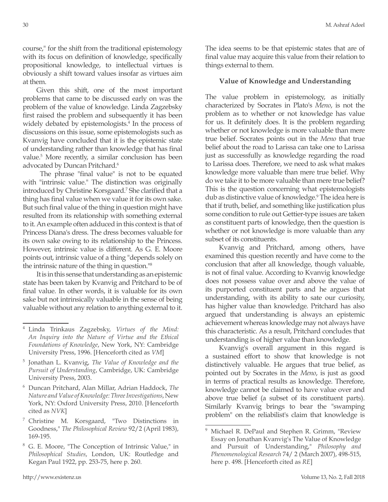course," for the shift from the traditional epistemology with its focus on definition of knowledge, specifically propositional knowledge, to intellectual virtues is obviously a shift toward values insofar as virtues aim at them.

Given this shift, one of the most important problems that came to be discussed early on was the problem of the value of knowledge. Linda Zagzebsky first raised the problem and subsequently it has been widely debated by epistemologists.<sup>4</sup> In the process of discussions on this issue, some epistemologists such as Kvanvig have concluded that it is the epistemic state of understanding rather than knowledge that has final value.5 More recently, a similar conclusion has been advocated by Duncan Pritchard.<sup>6</sup>

 The phrase "final value" is not to be equated with "intrinsic value." The distinction was originally introduced by Christine Korsgaard.7 She clarified that a thing has final value when we value it for its own sake. But such final value of the thing in question might have resulted from its relationship with something external to it. An example often adduced in this context is that of Princess Diana's dress. The dress becomes valuable for its own sake owing to its relationship to the Princess. However, intrinsic value is different. As G. E. Moore points out, intrinsic value of a thing "depends solely on the intrinsic nature of the thing in question."8

It is in this sense that understanding as an epistemic state has been taken by Kvanvig and Pritchard to be of final value. In other words, it is valuable for its own sake but not intrinsically valuable in the sense of being valuable without any relation to anything external to it.

The idea seems to be that epistemic states that are of final value may acquire this value from their relation to things external to them.

## **Value of Knowledge and Understanding**

The value problem in epistemology, as initially characterized by Socrates in Plato's *Meno*, is not the problem as to whether or not knowledge has value for us. It definitely does. It is the problem regarding whether or not knowledge is more valuable than mere true belief. Socrates points out in the *Meno* that true belief about the road to Larissa can take one to Larissa just as successfully as knowledge regarding the road to Larissa does. Therefore, we need to ask what makes knowledge more valuable than mere true belief. Why do we take it to be more valuable than mere true belief? This is the question concerning what epistemologists dub as distinctive value of knowledge.<sup>9</sup> The idea here is that if truth, belief, and something like justification plus some condition to rule out Gettier-type issues are taken as constituent parts of knowledge, then the question is whether or not knowledge is more valuable than any subset of its constituents.

Kvanvig and Pritchard, among others, have examined this question recently and have come to the conclusion that after all knowledge, though valuable, is not of final value. According to Kvanvig knowledge does not possess value over and above the value of its purported constituent parts and he argues that understanding, with its ability to sate our curiosity, has higher value than knowledge. Pritchard has also argued that understanding is always an epistemic achievement whereas knowledge may not always have this characteristic. As a result, Pritchard concludes that understanding is of higher value than knowledge.

Kvanvig's overall argument in this regard is a sustained effort to show that knowledge is not distinctively valuable. He argues that true belief, as pointed out by Socrates in the *Meno*, is just as good in terms of practical results as knowledge. Therefore, knowledge cannot be claimed to have value over and above true belief (a subset of its constituent parts). Similarly Kvanvig brings to bear the "swamping problem" on the reliabilist's claim that knowledge is

<sup>4</sup> Linda Trinkaus Zagzebsky, *Virtues of the Mind: An Inquiry into the Nature of Virtue and the Ethical Foundations of Knowledge*, New York, NY: Cambridge University Press, 1996. [Henceforth cited as *VM*]

<sup>5</sup> Jonathan L. Kvanvig, *The Value of Knowledge and the Pursuit of Understanding*, Cambridge, UK: Cambridge University Press, 2003.

<sup>6</sup> Duncan Pritchard, Alan Millar, Adrian Haddock, *The Nature and Value of Knowledge: Three Investigations*, New York, NY: Oxford University Press, 2010. [Henceforth cited as *NVK*]

<sup>7</sup> Christine M. Korsgaard, "Two Distinctions in Goodness," *The Philosophical Review* 92/2 (April 1983), 169-195.

<sup>8</sup> G. E. Moore, "The Conception of Intrinsic Value," in *Philosophical Studies*, London, UK: Routledge and Kegan Paul 1922, pp. 253-75, here p. 260.

<sup>&</sup>lt;sup>9</sup> Michael R. DePaul and Stephen R. Grimm, "Review Essay on Jonathan Kvanvig's The Value of Knowledge and Pursuit of Understanding," *Philosophy and Phenomenological Research* 74/ 2 (March 2007), 498-515, here p. 498. [Henceforth cited as *RE*]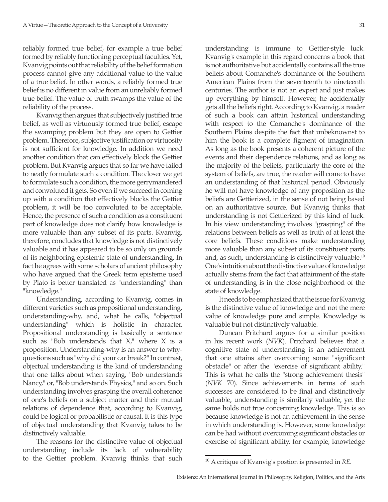reliably formed true belief, for example a true belief formed by reliably functioning perceptual faculties. Yet, Kvanvig points out that reliability of the belief formation process cannot give any additional value to the value of a true belief. In other words, a reliably formed true belief is no different in value from an unreliably formed true belief. The value of truth swamps the value of the reliability of the process.

Kvanvig then argues that subjectively justified true belief, as well as virtuously formed true belief, escape the swamping problem but they are open to Gettier problem. Therefore, subjective justification or virtuosity is not sufficient for knowledge. In addition we need another condition that can effectively block the Gettier problem. But Kvanvig argues that so far we have failed to neatly formulate such a condition. The closer we get to formulate such a condition, the more gerrymandered and convoluted it gets. So even if we succeed in coming up with a condition that effectively blocks the Gettier problem, it will be too convoluted to be acceptable. Hence, the presence of such a condition as a constituent part of knowledge does not clarify how knowledge is more valuable than any subset of its parts. Kvanvig, therefore, concludes that knowledge is not distinctively valuable and it has appeared to be so only on grounds of its neighboring epistemic state of understanding. In fact he agrees with some scholars of ancient philosophy who have argued that the Greek term episteme used by Plato is better translated as "understanding" than "knowledge."

Understanding, according to Kvanvig, comes in different varieties such as propositional understanding, understanding-why, and, what he calls, "objectual understanding" which is holistic in character. Propositional understanding is basically a sentence such as "Bob understands that  $X$ ," where  $X$  is a proposition. Understanding-why is an answer to whyquestions such as "why did your car break?" In contrast, objectual understanding is the kind of understanding that one talks about when saying, "Bob understands Nancy," or, "Bob understands Physics," and so on. Such understanding involves grasping the overall coherence of one's beliefs on a subject matter and their mutual relations of dependence that, according to Kvanvig, could be logical or probabilistic or causal. It is this type of objectual understanding that Kvanvig takes to be distinctively valuable.

The reasons for the distinctive value of objectual understanding include its lack of vulnerability to the Gettier problem. Kvanvig thinks that such understanding is immune to Gettier-style luck. Kvanvig's example in this regard concerns a book that is not authoritative but accidentally contains all the true beliefs about Comanche's dominance of the Southern American Plains from the seventeenth to nineteenth centuries. The author is not an expert and just makes up everything by himself. However, he accidentally gets all the beliefs right. According to Kvanvig, a reader of such a book can attain historical understanding with respect to the Comanche's dominance of the Southern Plains despite the fact that unbeknownst to him the book is a complete figment of imagination. As long as the book presents a coherent picture of the events and their dependence relations, and as long as the majority of the beliefs, particularly the core of the system of beliefs, are true, the reader will come to have an understanding of that historical period. Obviously he will not have knowledge of any proposition as the beliefs are Gettierized, in the sense of not being based on an authoritative source. But Kvanvig thinks that understanding is not Gettierized by this kind of luck. In his view understanding involves "grasping" of the relations between beliefs as well as truth of at least the core beliefs. These conditions make understanding more valuable than any subset of its constituent parts and, as such, understanding is distinctively valuable.10 One's intuition about the distinctive value of knowledge actually stems from the fact that attainment of the state of understanding is in the close neighborhood of the state of knowledge.

It needs to be emphasized that the issue for Kvanvig is the distinctive value of knowledge and not the mere value of knowledge pure and simple. Knowledge is valuable but not distinctively valuable.

Duncan Pritchard argues for a similar position in his recent work (*NVK*). Pritchard believes that a cognitive state of understanding is an achievement that one attains after overcoming some "significant obstacle" or after the "exercise of significant ability." This is what he calls the "strong achievement thesis" (*NVK* 70). Since achievements in terms of such successes are considered to be final and distinctively valuable, understanding is similarly valuable, yet the same holds not true concerning knowledge. This is so because knowledge is not an achievement in the sense in which understanding is. However, some knowledge can be had without overcoming significant obstacles or exercise of significant ability, for example, knowledge

<sup>10</sup> A critique of Kvanvig's postion is presented in *RE*.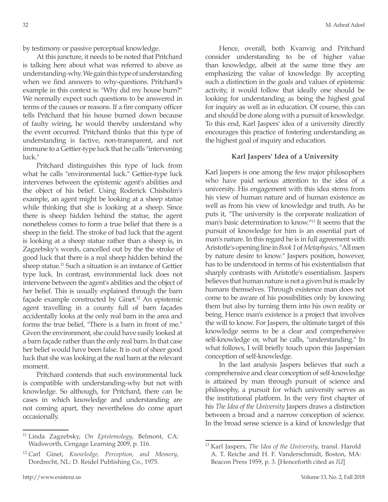by testimony or passive perceptual knowledge.

At this juncture, it needs to be noted that Pritchard is talking here about what was referred to above as understanding-why. We gain this type of understanding when we find answers to why-questions. Pritchard's example in this context is: "Why did my house burn?" We normally expect such questions to be answered in terms of the causes or reasons. If a fire company officer tells Pritchard that his house burned down because of faulty wiring, he would thereby understand why the event occurred. Pritchard thinks that this type of understanding is factive, non-transparent, and not immune to a Gettier-type luck that he calls "intervening luck."

Pritchard distinguishes this type of luck from what he calls "environmental luck." Gettier-type luck intervenes between the epistemic agent's abilities and the object of his belief. Using Roderick Chisholm's example, an agent might be looking at a sheep statue while thinking that she is looking at a sheep. Since there is sheep hidden behind the statue, the agent nonetheless comes to form a true belief that there is a sheep in the field. The stroke of bad luck that the agent is looking at a sheep statue rather than a sheep is, in Zagzebsky's words, cancelled out by the the stroke of good luck that there is a real sheep hidden behind the sheep statue.<sup>11</sup> Such a situation is an instance of Gettier type luck. In contrast, environmental luck does not intervene between the agent's abilities and the object of her belief. This is usually explained through the barn façade example constructed by Ginet.<sup>12</sup> An epistemic agent travelling in a county full of barn façades accidentally looks at the only real barn in the area and forms the true belief, "There is a barn in front of me." Given the environment, she could have easily looked at a barn façade rather than the only real barn. In that case her belief would have been false. It is out of sheer good luck that she was looking at the real barn at the relevant moment.

Pritchard contends that such environmental luck is compatible with understanding-why but not with knowledge. So although, for Pritchard, there can be cases in which knowledge and understanding are not coming apart, they nevertheless do come apart occasionally.

Hence, overall, both Kvanvig and Pritchard consider understanding to be of higher value than knowledge, albeit at the same time they are emphasizing the value of knowledge. By accepting such a distinction in the goals and values of epistemic activity, it would follow that ideally one should be looking for understanding as being the highest goal for inquiry as well as in education. Of course, this can and should be done along with a pursuit of knowledge. To this end, Karl Jaspers' idea of a university directly encourages this practice of fostering understanding as the highest goal of inquiry and education.

## **Karl Jaspers' Idea of a University**

Karl Jaspers is one among the few major philosophers who have paid serious attention to the idea of a university. His engagement with this idea stems from his view of human nature and of human existence as well as from his view of knowledge and truth. As he puts it, "The university is the corporate realization of man's basic determination to know."13 It seems that the pursuit of knowledge for him is an essential part of man's nature. In this regard he is in full agreement with Aristotle's opening line in *Book 1* of *Metaphysics*, "All men by nature desire to know." Jaspers position, however, has to be understood in terms of his existentialism that sharply contrasts with Aristotle's essentialism. Jaspers believes that human nature is not a given but is made by humans themselves. Through existence man does not come to be aware of his possibilities only by knowing them but also by turning them into his own reality or being. Hence man's existence is a project that involves the will to know. For Jaspers, the ultimate target of this knowledge seems to be a clear and comprehensive self-knowledge or, what he calls, "understanding." In what follows, I will briefly touch upon this Jaspersian conception of self-knowledge.

In the last analysis Jaspers believes that such a comprehensive and clear conception of self-knowledge is attained by man through pursuit of science and philosophy, a pursuit for which university serves as the institutional platform. In the very first chapter of his *The Idea of the University* Jaspers draws a distinction between a broad and a narrow conception of science. In the broad sense science is a kind of knowledge that

<sup>11</sup> Linda Zagzebsky, *On Epistemology*, Belmont, CA: Wadsworth, Cengage Learning 2009, p. 116.

<sup>12</sup> Carl Ginet, *Knowledge, Perception, and Memory*, Dordrecht, NL: D. Reidel Publishing Co., 1975.

<sup>13</sup> Karl Jaspers, *The Idea of the University*, transl. Harold A. T. Reiche and H. F. Vanderschmidt, Boston, MA: Beacon Press 1959, p. 3. [Henceforth cited as *IU*]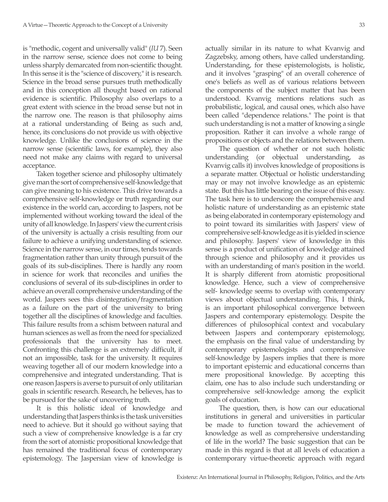is "methodic, cogent and universally valid" (*IU* 7). Seen in the narrow sense, science does not come to being unless sharply demarcated from non-scientific thought. In this sense it is the "science of discovery," it is research. Science in the broad sense pursues truth methodically and in this conception all thought based on rational evidence is scientific. Philosophy also overlaps to a great extent with science in the broad sense but not in the narrow one. The reason is that philosophy aims at a rational understanding of Being as such and, hence, its conclusions do not provide us with objective knowledge. Unlike the conclusions of science in the narrow sense (scientific laws, for example), they also need not make any claims with regard to universal acceptance.

Taken together science and philosophy ultimately give man the sort of comprehensive self-knowledge that can give meaning to his existence. This drive towards a comprehensive self-knowledge or truth regarding our existence in the world can, according to Jaspers, not be implemented without working toward the ideal of the unity of all knowledge. In Jaspers' view the current crisis of the university is actually a crisis resulting from our failure to achieve a unifying understanding of science. Science in the narrow sense, in our times, tends towards fragmentation rather than unity through pursuit of the goals of its sub-disciplines. There is hardly any room in science for work that reconciles and unifies the conclusions of several of its sub-disciplines in order to achieve an overall comprehensive understanding of the world. Jaspers sees this disintegration/fragmentation as a failure on the part of the university to bring together all the disciplines of knowledge and faculties. This failure results from a schism between natural and human sciences as well as from the need for specialized professionals that the university has to meet. Confronting this challenge is an extremely difficult, if not an impossible, task for the university. It requires weaving together all of our modern knowledge into a comprehensive and integrated understanding. That is one reason Jaspers is averse to pursuit of only utilitarian goals in scientific research. Research, he believes, has to be pursued for the sake of uncovering truth.

It is this holistic ideal of knowledge and understanding that Jaspers thinks is the task universities need to achieve. But it should go without saying that such a view of comprehensive knowledge is a far cry from the sort of atomistic propositional knowledge that has remained the traditional focus of contemporary epistemology. The Jaspersian view of knowledge is

actually similar in its nature to what Kvanvig and Zagzebsky, among others, have called understanding. Understanding, for these epistemologists, is holistic, and it involves "grasping" of an overall coherence of one's beliefs as well as of various relations between the components of the subject matter that has been understood. Kvanvig mentions relations such as probabilistic, logical, and causal ones, which also have been called "dependence relations." The point is that such understanding is not a matter of knowing a single proposition. Rather it can involve a whole range of propositions or objects and the relations between them.

The question of whether or not such holistic understanding (or objectual understanding, as Kvanvig calls it) involves knowledge of propositions is a separate matter. Objectual or holistic understanding may or may not involve knowledge as an epistemic state. But this has little bearing on the issue of this essay. The task here is to underscore the comprehensive and holistic nature of understanding as an epistemic state as being elaborated in contemporary epistemology and to point toward its similarities with Jaspers' view of comprehensive self-knowledge as it is yielded in science and philosophy. Jaspers' view of knowledge in this sense is a product of unification of knowledge attained through science and philosophy and it provides us with an understanding of man's position in the world. It is sharply different from atomistic propositional knowledge. Hence, such a view of comprehensive self- knowledge seems to overlap with contemporary views about objectual understanding. This, I think, is an important philosophical convergence between Jaspers and contemporary epistemology. Despite the differences of philosophical context and vocabulary between Jaspers and contemporary epistemology, the emphasis on the final value of understanding by contemporary epistemologists and comprehensive self-knowledge by Jaspers implies that there is more to important epistemic and educational concerns than mere propositional knowledge. By accepting this claim, one has to also include such understanding or comprehensive self-knowledge among the explicit goals of education.

The question, then, is how can our educational institutions in general and universities in particular be made to function toward the achievement of knowledge as well as comprehensive understanding of life in the world? The basic suggestion that can be made in this regard is that at all levels of education a contemporary virtue-theoretic approach with regard